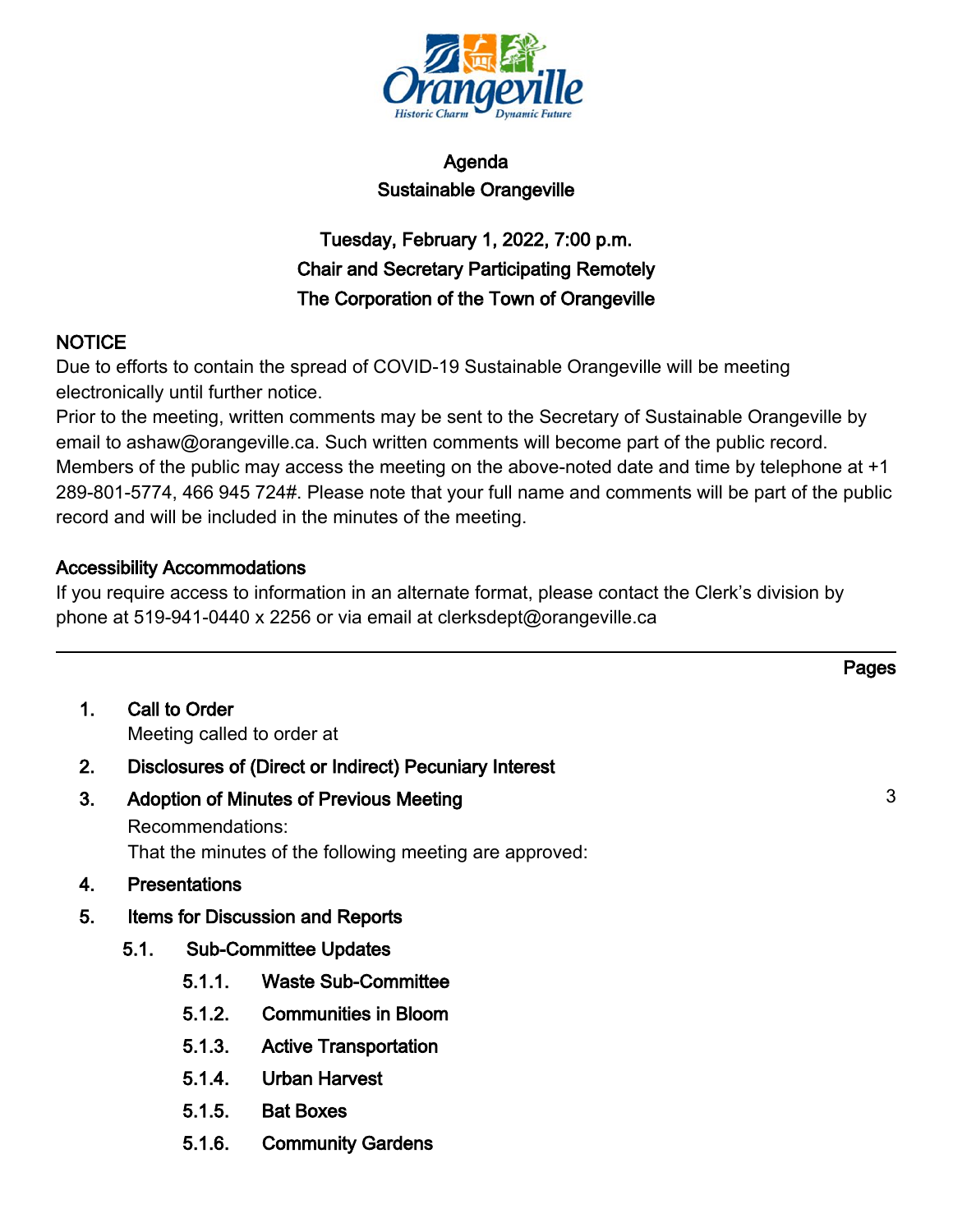

# Agenda Sustainable Orangeville

# Tuesday, February 1, 2022, 7:00 p.m. Chair and Secretary Participating Remotely The Corporation of the Town of Orangeville

## NOTICE

Due to efforts to contain the spread of COVID-19 Sustainable Orangeville will be meeting electronically until further notice.

Prior to the meeting, written comments may be sent to the Secretary of Sustainable Orangeville by email to ashaw@orangeville.ca. Such written comments will become part of the public record. Members of the public may access the meeting on the above-noted date and time by telephone at +1 289-801-5774, 466 945 724#. Please note that your full name and comments will be part of the public record and will be included in the minutes of the meeting.

## Accessibility Accommodations

If you require access to information in an alternate format, please contact the Clerk's division by phone at 519-941-0440 x 2256 or via email at clerksdept@orangeville.ca

| 1. | <b>Call to Order</b>       |
|----|----------------------------|
|    | Meeting called to order at |

- 2. Disclosures of (Direct or Indirect) Pecuniary Interest
- 3. Adoption of Minutes of Previous Meeting 3 and 3 3 Recommendations: That the minutes of the following meeting are approved:
- 4. Presentations
- 5. Items for Discussion and Reports
	- 5.1. Sub-Committee Updates
		- 5.1.1. Waste Sub-Committee
		- 5.1.2. Communities in Bloom
		- 5.1.3. Active Transportation
		- 5.1.4. Urban Harvest
		- 5.1.5. Bat Boxes
		- 5.1.6. Community Gardens

Pages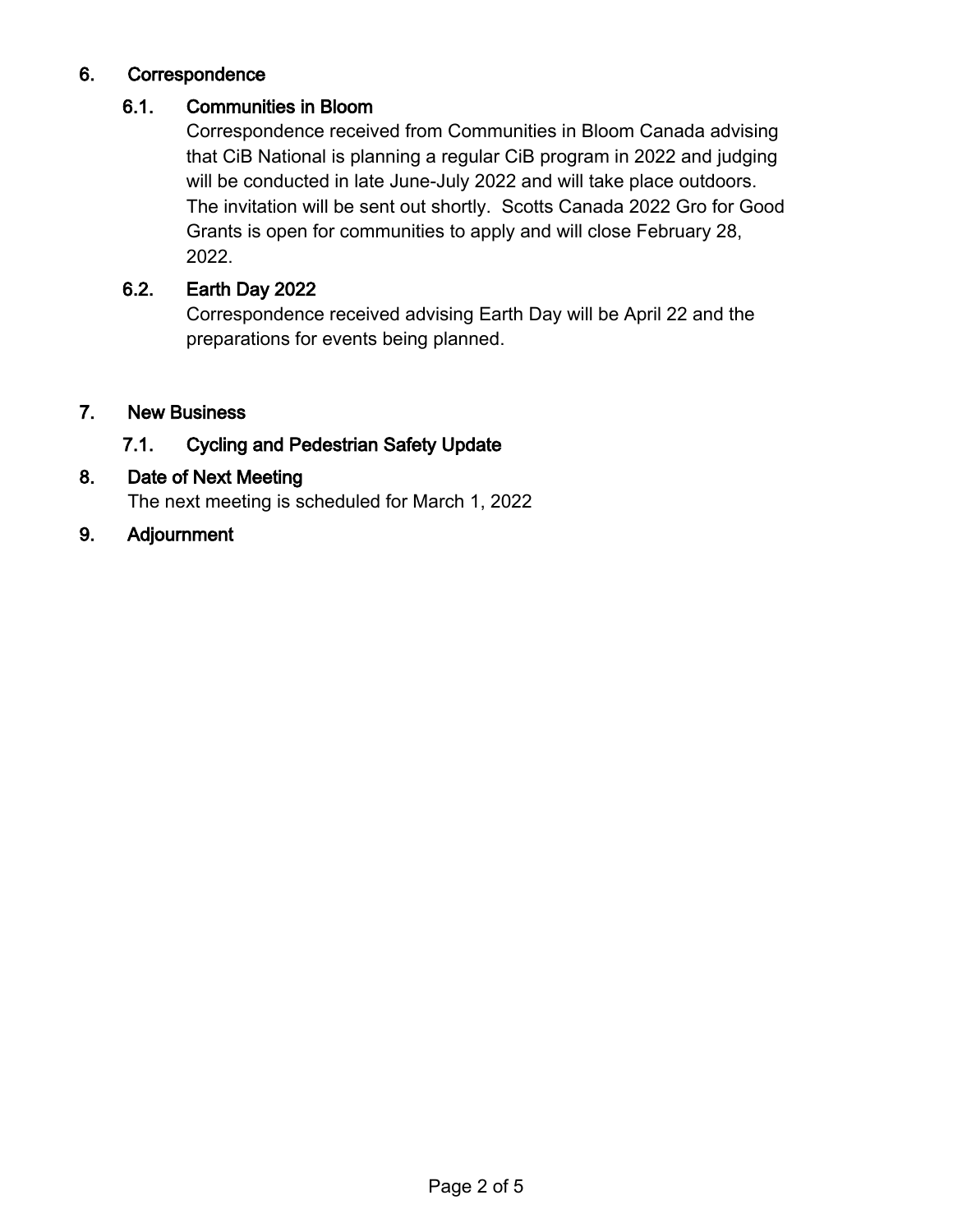## 6. Correspondence

## 6.1. Communities in Bloom

Correspondence received from Communities in Bloom Canada advising that CiB National is planning a regular CiB program in 2022 and judging will be conducted in late June-July 2022 and will take place outdoors. The invitation will be sent out shortly. Scotts Canada 2022 Gro for Good Grants is open for communities to apply and will close February 28, 2022.

## 6.2. Earth Day 2022

Correspondence received advising Earth Day will be April 22 and the preparations for events being planned.

## 7. New Business

## 7.1. Cycling and Pedestrian Safety Update

## 8. Date of Next Meeting

The next meeting is scheduled for March 1, 2022

9. Adjournment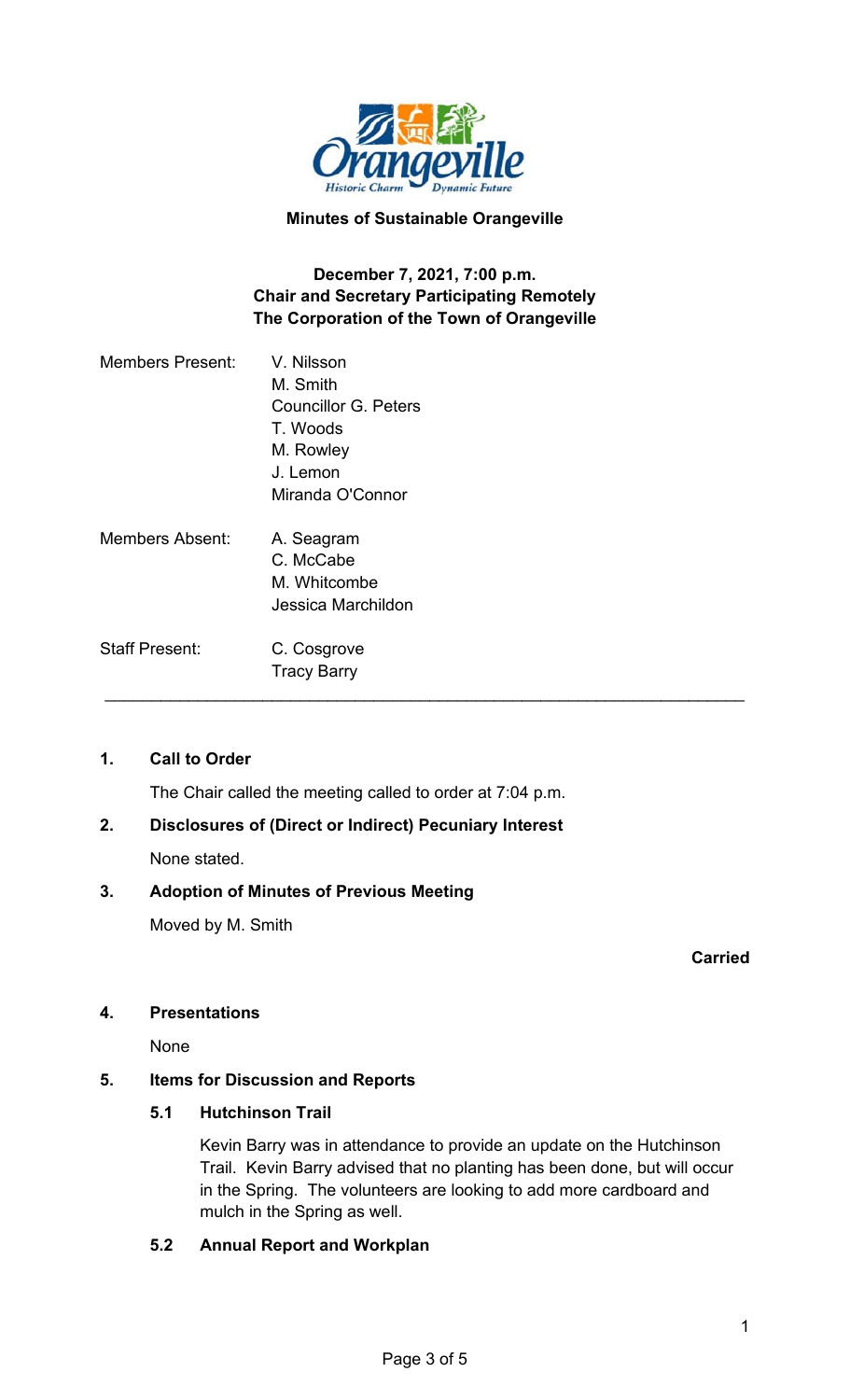

#### **Minutes of Sustainable Orangeville**

## **December 7, 2021, 7:00 p.m. Chair and Secretary Participating Remotely The Corporation of the Town of Orangeville**

| <b>Members Present:</b> | V. Nilsson                  |  |
|-------------------------|-----------------------------|--|
|                         | M. Smith                    |  |
|                         | <b>Councillor G. Peters</b> |  |
|                         | T. Woods                    |  |
|                         | M. Rowley                   |  |
|                         | J. Lemon                    |  |
|                         | Miranda O'Connor            |  |
| <b>Members Absent:</b>  | A. Seagram                  |  |
|                         | C. McCabe                   |  |
|                         | M. Whitcombe                |  |
|                         | Jessica Marchildon          |  |
| <b>Staff Present:</b>   | C. Cosgrove                 |  |
|                         | <b>Tracy Barry</b>          |  |
|                         |                             |  |

## **1. Call to Order**

The Chair called the meeting called to order at 7:04 p.m.

#### **2. Disclosures of (Direct or Indirect) Pecuniary Interest**

None stated.

#### **3. Adoption of Minutes of Previous Meeting**

Moved by M. Smith

**Carried**

#### **4. Presentations**

None

#### **5. Items for Discussion and Reports**

#### **5.1 Hutchinson Trail**

Kevin Barry was in attendance to provide an update on the Hutchinson Trail. Kevin Barry advised that no planting has been done, but will occur in the Spring. The volunteers are looking to add more cardboard and mulch in the Spring as well.

#### **5.2 Annual Report and Workplan**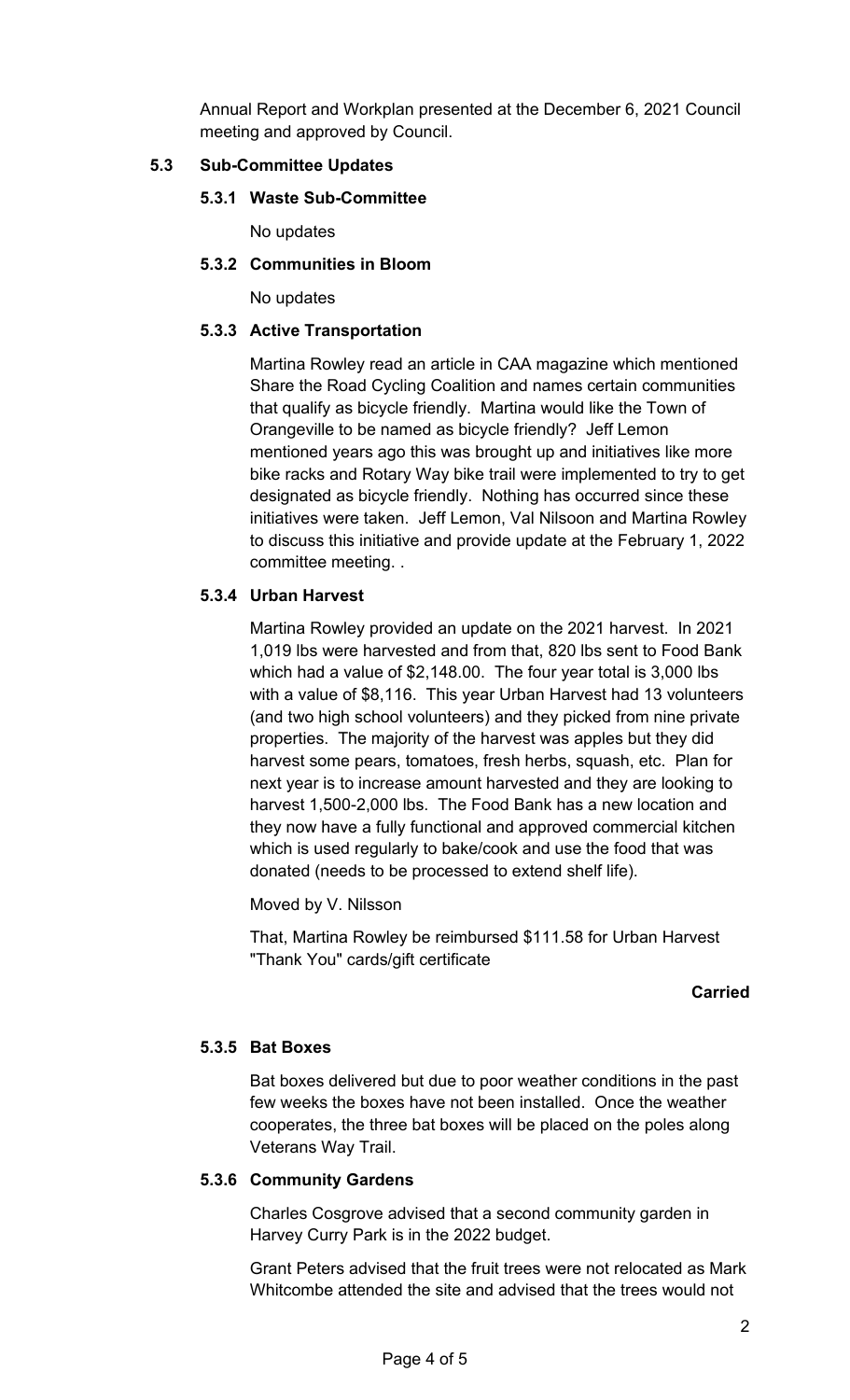Annual Report and Workplan presented at the December 6, 2021 Council meeting and approved by Council.

## **5.3 Sub-Committee Updates**

## **5.3.1 Waste Sub-Committee**

No updates

## **5.3.2 Communities in Bloom**

No updates

## **5.3.3 Active Transportation**

Martina Rowley read an article in CAA magazine which mentioned Share the Road Cycling Coalition and names certain communities that qualify as bicycle friendly. Martina would like the Town of Orangeville to be named as bicycle friendly? Jeff Lemon mentioned years ago this was brought up and initiatives like more bike racks and Rotary Way bike trail were implemented to try to get designated as bicycle friendly. Nothing has occurred since these initiatives were taken. Jeff Lemon, Val Nilsoon and Martina Rowley to discuss this initiative and provide update at the February 1, 2022 committee meeting. .

## **5.3.4 Urban Harvest**

Martina Rowley provided an update on the 2021 harvest. In 2021 1,019 lbs were harvested and from that, 820 lbs sent to Food Bank which had a value of \$2,148.00. The four year total is 3,000 lbs with a value of \$8,116. This year Urban Harvest had 13 volunteers (and two high school volunteers) and they picked from nine private properties. The majority of the harvest was apples but they did harvest some pears, tomatoes, fresh herbs, squash, etc. Plan for next year is to increase amount harvested and they are looking to harvest 1,500-2,000 lbs. The Food Bank has a new location and they now have a fully functional and approved commercial kitchen which is used regularly to bake/cook and use the food that was donated (needs to be processed to extend shelf life).

Moved by V. Nilsson

That, Martina Rowley be reimbursed \$111.58 for Urban Harvest "Thank You" cards/gift certificate

#### **Carried**

#### **5.3.5 Bat Boxes**

Bat boxes delivered but due to poor weather conditions in the past few weeks the boxes have not been installed. Once the weather cooperates, the three bat boxes will be placed on the poles along Veterans Way Trail.

#### **5.3.6 Community Gardens**

Charles Cosgrove advised that a second community garden in Harvey Curry Park is in the 2022 budget.

Grant Peters advised that the fruit trees were not relocated as Mark Whitcombe attended the site and advised that the trees would not